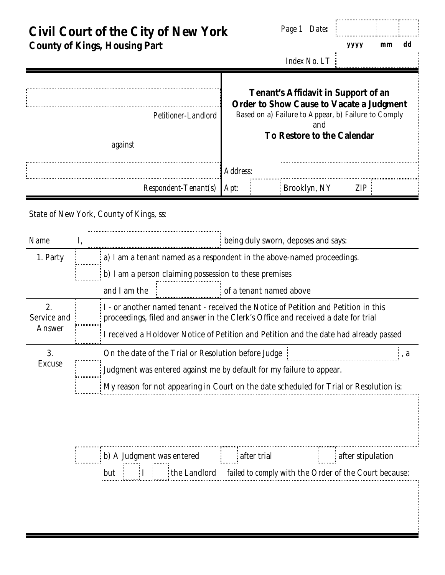**Civil Court of the City of New York County of Kings, Housing Part**

*Page 1 Date***:**

*yyyy mm dd*

*Index No. LT*

## **Tenant's Affidavit in Support of an Order to Show Cause to Vacate a Judgment** Based on a) Failure to Appear, b) Failure to Comply and **To Restore to the Calendar** *Petitioner-Landlord against Address*: *Respondent-Tenant(s) Apt*: Brooklyn, NY *ZIP*

State of New York, County of Kings, ss:

| Name                        | I, | being duly sworn, deposes and says:                                                                                                                                                                                                                              |  |                         |                   |  |  |  |  |  |  |
|-----------------------------|----|------------------------------------------------------------------------------------------------------------------------------------------------------------------------------------------------------------------------------------------------------------------|--|-------------------------|-------------------|--|--|--|--|--|--|
| 1. Party                    |    | a) I am a tenant named as a respondent in the above-named proceedings.                                                                                                                                                                                           |  |                         |                   |  |  |  |  |  |  |
|                             |    | b) I am a person claiming possession to these premises                                                                                                                                                                                                           |  |                         |                   |  |  |  |  |  |  |
|                             |    | and I am the                                                                                                                                                                                                                                                     |  | of a tenant named above |                   |  |  |  |  |  |  |
| 2.<br>Service and<br>Answer |    | I - or another named tenant - received the Notice of Petition and Petition in this<br>proceedings, filed and answer in the Clerk's Office and received a date for trial<br>I received a Holdover Notice of Petition and Petition and the date had already passed |  |                         |                   |  |  |  |  |  |  |
| 3.<br><b>Excuse</b>         |    | On the date of the Trial or Resolution before Judge                                                                                                                                                                                                              |  |                         |                   |  |  |  |  |  |  |
|                             |    | Judgment was entered against me by default for my failure to appear.                                                                                                                                                                                             |  |                         |                   |  |  |  |  |  |  |
|                             |    | My reason for not appearing in Court on the date scheduled for Trial or Resolution is:                                                                                                                                                                           |  |                         |                   |  |  |  |  |  |  |
|                             |    |                                                                                                                                                                                                                                                                  |  |                         |                   |  |  |  |  |  |  |
|                             |    | b) A Judgment was entered                                                                                                                                                                                                                                        |  | after trial             | after stipulation |  |  |  |  |  |  |
|                             |    | the Landlord failed to comply with the Order of the Court because:<br>but                                                                                                                                                                                        |  |                         |                   |  |  |  |  |  |  |
|                             |    |                                                                                                                                                                                                                                                                  |  |                         |                   |  |  |  |  |  |  |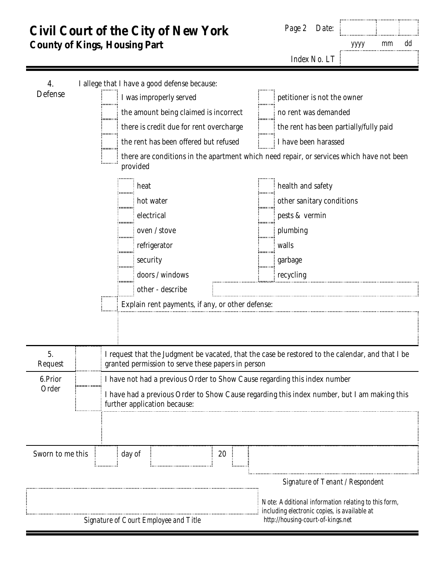## **Civil Court of the City of New York** *Page 2 Date*: **County of Kings, Housing Part** *yyyy mm dd Index No. LT* I allege that I have a good defense because: 4. Defense I was improperly served petitioner is not the owner the amount being claimed is incorrect no rent was demanded .<br>........ there is credit due for rent overcharge the rent has been partially/fully paid hmn the rent has been offered but refused  $\qquad \qquad \vdots \qquad \qquad$  I have been harassed there are conditions in the apartment which need repair, or services which have not been provided heat heat health and safety hot water **other sanitary conditions** is the sanitary conditions electrical pests & vermin oven / stove  $\begin{bmatrix} \vdots \\ \vdots \\ \vdots \end{bmatrix}$  plumbing '........ refrigerator **walls** in mu ........ security example and security and security doors / windows is recycling other - describe Explain rent payments, if any, or other defense: 5. I request that the Judgment be vacated, that the case be restored to the calendar, and that I be Request granted permission to serve these papers in person 6.Prior I have not had a previous Order to Show Cause regarding this index number Order I have had a previous Order to Show Cause regarding this index number, but I am making this further application because: Sworn to me this day of 20 *Signature of Tenant / Respondent Note: Additional information relating to this form, including electronic copies, is available at Signature of Court Employee and Title http://housing-court-of-kings.net*